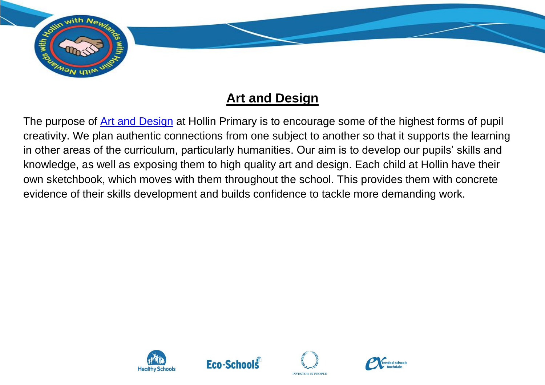

## **Art and Design**

The purpose of [Art and Design](https://assets.publishing.service.gov.uk/government/uploads/system/uploads/attachment_data/file/239018/PRIMARY_national_curriculum_-_Art_and_design.pdf) at Hollin Primary is to encourage some of the highest forms of pupil creativity. We plan authentic connections from one subject to another so that it supports the learning in other areas of the curriculum, particularly humanities. Our aim is to develop our pupils' skills and knowledge, as well as exposing them to high quality art and design. Each child at Hollin have their own sketchbook, which moves with them throughout the school. This provides them with concrete evidence of their skills development and builds confidence to tackle more demanding work.







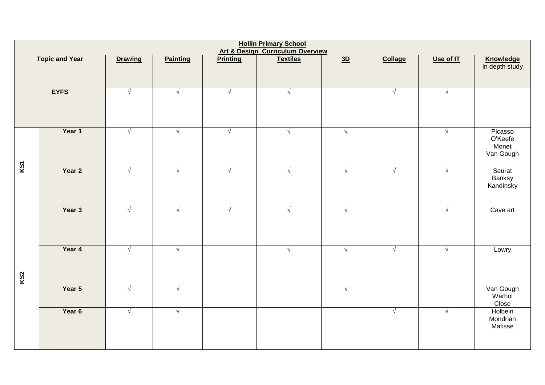| <b>Hollin Primary School</b><br><b>Art &amp; Design Curriculum Overview</b> |        |                |                 |                 |                 |            |                |            |                                          |  |  |
|-----------------------------------------------------------------------------|--------|----------------|-----------------|-----------------|-----------------|------------|----------------|------------|------------------------------------------|--|--|
| <b>Topic and Year</b>                                                       |        | <b>Drawing</b> | <b>Painting</b> | <b>Printing</b> | <b>Textiles</b> | 3D         | <b>Collage</b> | Use of IT  | <b>Knowledge</b><br>In depth study       |  |  |
|                                                                             |        |                |                 |                 |                 |            |                |            |                                          |  |  |
| <b>EYFS</b>                                                                 |        | $\sqrt{ }$     | $\sqrt{ }$      | $\sqrt{ }$      | $\sqrt{ }$      |            | $\sqrt{2}$     | $\sqrt{2}$ |                                          |  |  |
| KS1                                                                         | Year 1 | $\sqrt{ }$     | $\sqrt{ }$      | $\sqrt{ }$      | $\sqrt{2}$      | $\sqrt{ }$ |                | $\sqrt{ }$ | Picasso<br>O'Keefe<br>Monet<br>Van Gough |  |  |
|                                                                             | Year 2 | $\sqrt{ }$     | $\sqrt{}$       | $\sqrt{}$       | $\sqrt{2}$      | $\sqrt{ }$ | $\sqrt{ }$     | $\sqrt{}$  | Seurat<br>Banksy<br>Kandinsky            |  |  |
| <b>KS2</b>                                                                  | Year 3 | $\sqrt{ }$     | $\sqrt{ }$      | $\sqrt{ }$      | $\sqrt{ }$      | $\sqrt{ }$ |                | $\sqrt{ }$ | Cave art                                 |  |  |
|                                                                             | Year 4 | $\sqrt{ }$     | $\sqrt{ }$      |                 | $\sqrt{ }$      | $\sqrt{ }$ | $\sqrt{ }$     | $\sqrt{ }$ | Lowry                                    |  |  |
|                                                                             | Year 5 | $\sqrt{ }$     | $\sqrt{ }$      |                 |                 | $\sqrt{ }$ |                |            | Van Gough<br>Warhol<br>Close             |  |  |
|                                                                             | Year 6 | $\sqrt{ }$     | $\sqrt{ }$      |                 |                 |            | $\sqrt{ }$     | $\sqrt{ }$ | Holbein<br>Mondrian<br>Matisse           |  |  |